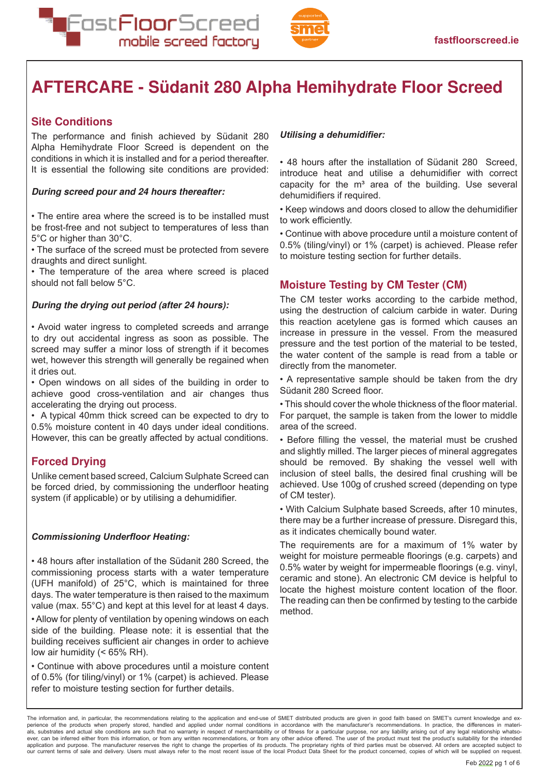Fast**Floor**Screed mobile screed factory



The performance and finish achieved by Südanit 280 Alpha Hemihydrate Floor Screed is dependent on the conditions in which it is installed and for a period thereafter. It is essential the following site conditions are provided:

## **During screed pour and 24 hours thereafter:**

• The entire area where the screed is to be installed must be frost-free and not subject to temperatures of less than 5°C or higher than 30°C.

• The surface of the screed must be protected from severe draughts and direct sunlight.

• The temperature of the area where screed is placed should not fall below 5°C.

## **During the drying out period (after 24 hours):**

• Avoid water ingress to completed screeds and arrange to dry out accidental ingress as soon as possible. The screed may suffer a minor loss of strength if it becomes wet, however this strength will generally be regained when it dries out.

• Open windows on all sides of the building in order to achieve good cross-ventilation and air changes thus accelerating the drying out process.

• A typical 40mm thick screed can be expected to dry to 0.5% moisture content in 40 days under ideal conditions. However, this can be greatly affected by actual conditions.

Unlike cement based screed, Calcium Sulphate Screed can be forced dried, by commissioning the underfloor heating system (if applicable) or by utilising a dehumidifier.

## *Commissioning Underfloor Heating:*

• 48 hours after installation of the Südanit 280 Screed, the commissioning process starts with a water temperature (UFH manifold) of 25°C, which is maintained for three days. The water temperature is then raised to the maximum value (max. 55°C) and kept at this level for at least 4 days.

• Allow for plenty of ventilation by opening windows on each side of the building. Please note: it is essential that the building receives sufficient air changes in order to achieve low air humidity (< 65% RH).

• Continue with above procedures until a moisture content of 0.5% (for tiling/vinyl) or 1% (carpet) is achieved. Please refer to moisture testing section for further details.

#### *Utilising a dehumidifier:*

• 48 hours after the installation of Südanit 280 Screed, introduce heat and utilise a dehumidifier with correct capacity for the  $m<sup>3</sup>$  area of the building. Use several dehumidifiers if required.

• Keep windows and doors closed to allow the dehumidifier to work efficiently.

• Continue with above procedure until a moisture content of 0.5% (tiling/vinyl) or 1% (carpet) is achieved. Please refer to moisture testing section for further details.

The CM tester works according to the carbide method, using the destruction of calcium carbide in water. During this reaction acetylene gas is formed which causes an increase in pressure in the vessel. From the measured pressure and the test portion of the material to be tested, the water content of the sample is read from a table or directly from the manometer.

• A representative sample should be taken from the dry Südanit 280 Screed floor.

• This should cover the whole thickness of the floor material. For parquet, the sample is taken from the lower to middle area of the screed.

• Before filling the vessel, the material must be crushed and slightly milled. The larger pieces of mineral aggregates should be removed. By shaking the vessel well with inclusion of steel balls, the desired final crushing will be achieved. Use 100g of crushed screed (depending on type of CM tester).

• With Calcium Sulphate based Screeds, after 10 minutes, there may be a further increase of pressure. Disregard this, as it indicates chemically bound water.

The requirements are for a maximum of 1% water by weight for moisture permeable floorings (e.g. carpets) and 0.5% water by weight for impermeable floorings (e.g. vinyl, ceramic and stone). An electronic CM device is helpful to locate the highest moisture content location of the floor. The reading can then be confirmed by testing to the carbide method.

The information and, in particular, the recommendations relating to the application and end-use of SMET distributed products are given in good faith based on SMET's current knowledge and experience of the products when properly stored, handled and applied under normal conditions in accordance with the manufacturer's recommendations. In practice, the differences in materials, substrates and actual site conditions are such that no warranty in respect of merchantability or of fitness for a particular purpose, nor any liability arising out of any legal relationship whatso-<br>ever, can be inferr application and purpose. The manufacturer reserves the right to change the proprties of its products. The proprietary rights of third parties must be observed. All orders are accepted subject to<br>our current terms of sale a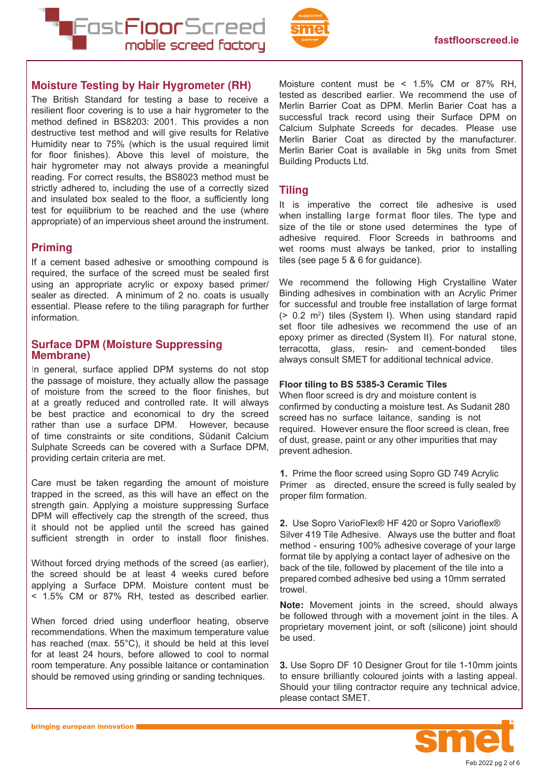



The British Standard for testing a base to receive a resilient floor covering is to use a hair hygrometer to the method defined in BS8203: 2001. This provides a non destructive test method and will give results for Relative Humidity near to 75% (which is the usual required limit for floor finishes). Above this level of moisture, the hair hygrometer may not always provide a meaningful reading. For correct results, the BS8023 method must be strictly adhered to, including the use of a correctly sized and insulated box sealed to the floor, a sufficiently long test for equilibrium to be reached and the use (where appropriate) of an impervious sheet around the instrument.

If a cement based adhesive or smoothing compound is required, the surface of the screed must be sealed first using an appropriate acrylic or expoxy based primer/ sealer as directed. A minimum of 2 no. coats is usually essential. Please refere to the tiling paragraph for further information.

In general, surface applied DPM systems do not stop the passage of moisture, they actually allow the passage of moisture from the screed to the floor finishes, but at a greatly reduced and controlled rate. It will always be best practice and economical to dry the screed rather than use a surface DPM. However, because of time constraints or site conditions, Südanit Calcium Sulphate Screeds can be covered with a Surface DPM, providing certain criteria are met.

Care must be taken regarding the amount of moisture trapped in the screed, as this will have an effect on the strength gain. Applying a moisture suppressing Surface DPM will effectively cap the strength of the screed, thus it should not be applied until the screed has gained sufficient strength in order to install floor finishes.

Without forced drying methods of the screed (as earlier), the screed should be at least 4 weeks cured before applying a Surface DPM. Moisture content must be < 1.5% CM or 87% RH, tested as described earlier.

When forced dried using underfloor heating, observe recommendations. When the maximum temperature value has reached (max. 55°C), it should be held at this level for at least 24 hours, before allowed to cool to normal room temperature. Any possible laitance or contamination should be removed using grinding or sanding techniques.

Moisture content must be < 1.5% CM or 87% RH, tested as described earlier. We recommend the use of Merlin Barrier Coat as DPM. Merlin Barier Coat has a successful track record using their Surface DPM on Calcium Sulphate Screeds for decades. Please use Merlin Barier Coat as directed by the manufacturer. Merlin Barier Coat is available in 5kg units from Smet Building Products Ltd.

It is imperative the correct tile adhesive is used when installing large format floor tiles. The type and size of the tile or stone used determines the type of adhesive required. Floor Screeds in bathrooms and wet rooms must always be tanked, prior to installing tiles (see page 5 & 6 for guidance).

We recommend the following High Crystalline Water Binding adhesives in combination with an Acrylic Primer for successful and trouble free installation of large format (> 0.2 m<sup>2</sup> ) tiles (System I). When using standard rapid set floor tile adhesives we recommend the use of an epoxy primer as directed (System II). For natural stone, terracotta, glass, resin- and cement-bonded tiles always consult SMET for additional technical advice.

#### **Floor tiling to BS 5385-3 Ceramic Tiles**

When floor screed is dry and moisture content is confirmed by conducting a moisture test. As Sudanit 280 screed has no surface laitance, sanding is not required. However ensure the floor screed is clean, free of dust, grease, paint or any other impurities that may prevent adhesion.

**1.** Prime the floor screed using Sopro GD 749 Acrylic Primer as directed, ensure the screed is fully sealed by proper film formation.

**2.** Use Sopro VarioFlex® HF 420 or Sopro Varioflex® Silver 419 Tile Adhesive. Always use the butter and float method - ensuring 100% adhesive coverage of your large format tile by applying a contact layer of adhesive on the back of the tile, followed by placement of the tile into a prepared combed adhesive bed using a 10mm serrated trowel.

**Note:** Movement joints in the screed, should always be followed through with a movement joint in the tiles. A proprietary movement joint, or soft (silicone) joint should be used.

**3.** Use Sopro DF 10 Designer Grout for tile 1-10mm joints to ensure brilliantly coloured joints with a lasting appeal. Should your tiling contractor require any technical advice, please contact SMET.

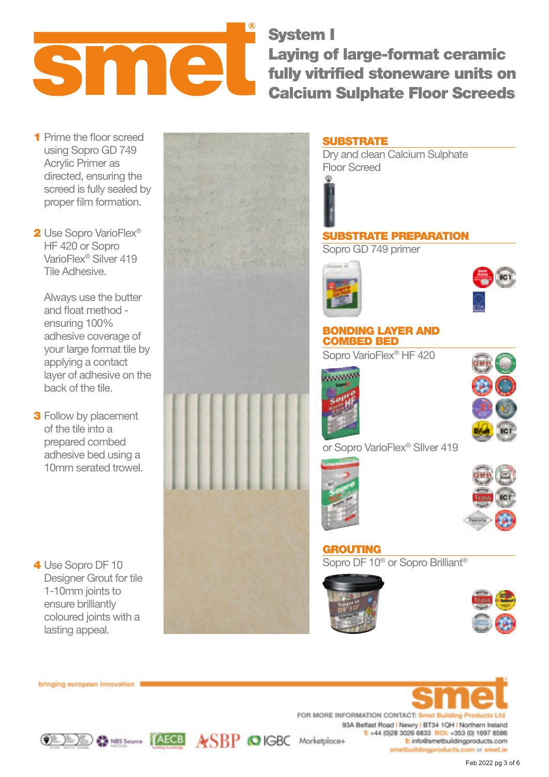System I Laying of large-format ceramic fully vitrified stoneware units on Calcium Sulphate Floor Screeds

**1** Prime the floor screed using Sopro GD 749 Acrylic Primer as directed, ensuring the screed is fully sealed by proper film formation.

Sme

2 Use Sopro VarioFlex<sup>®</sup> HF 420 or Sopro VarioFlex® Silver 419 Tile Adhesive.

Always use the butter and float method ensuring 100% adhesive coverage of your large format tile by applying a contact layer of adhesive on the back of the tile.

**3** Follow by placement of the tile into a prepared combed adhesive bed using a 10mm serated trowel.

4 Use Sopro DF 10 Designer Grout for tile 1-10mm joints to ensure brilliantly coloured joints with a lasting appeal.





bringing european innovation

FOR MORE INFORMATION CONTACT: Smet Building Products Ltd. 93A Belfast Road | Newry | BT34 1QH | Northern Ireland T: +44 (0)28 3026 6833 ROI: +353 (0) 1697 8586 E: info@smetbuildingproducts.com smetbuildingproducts.com or smet.ie



SRP OIGBC Marketplace+







Feb 2022 pg 3 of 6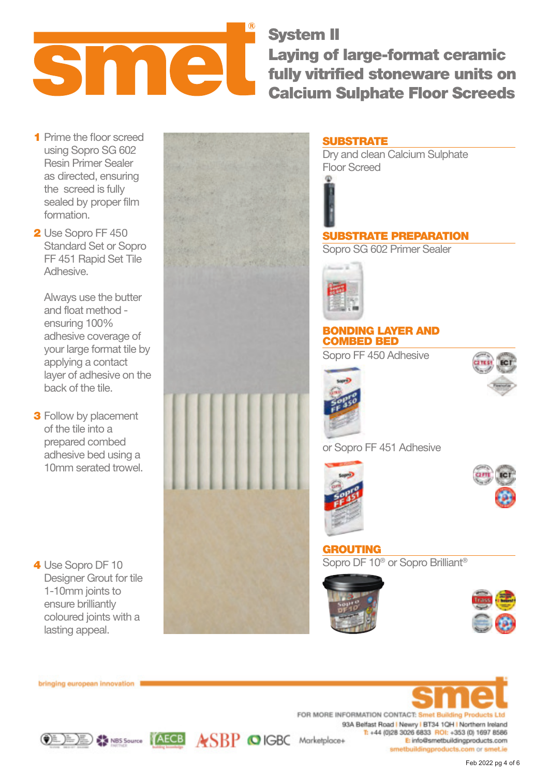System II Sma Laying of large-format ceramic fully vitrified stoneware units on Calcium Sulphate Floor Screeds

- **1** Prime the floor screed using Sopro SG 602 Resin Primer Sealer as directed, ensuring the screed is fully sealed by proper film formation.
- 2 Use Sopro FF 450 Standard Set or Sopro FF 451 Rapid Set Tile Adhesive.

Always use the butter and float method ensuring 100% adhesive coverage of your large format tile by applying a contact layer of adhesive on the back of the tile.

**3** Follow by placement of the tile into a prepared combed adhesive bed using a 10mm serated trowel.

4 Use Sopro DF 10 Designer Grout for tile 1-10mm joints to ensure brilliantly coloured joints with a lasting appeal.



# **SUBSTRATE**

Dry and clean Calcium Sulphate Floor Screed

# SUBSTRATE PREPARATION Sopro SG 602 Primer Sealer



# BONDING LAYER AND COMBED BED

Sopro FF 450 Adhesive



or Sopro FF 451 Adhesive





GROUTING Sopro DF 10® or Sopro Brilliant®





bringing european innovation

FOR MORE INFORMATION CONTACT: Smet Building Pro-93A Belfast Road | Newry | BT34 1QH | Northern Ireland T: +44 (0)28 3026 6833 ROI: +353 (0) 1697 8586 CEE Marketplace+ E: info@smetbuildingproducts.com smetbuildingproducts.com or smet.ie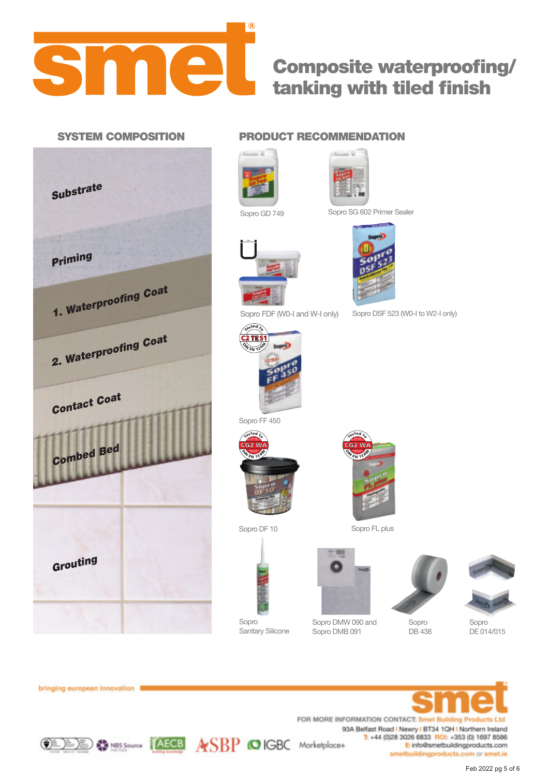

# Composite waterproofing/ tanking with tiled finish



# SYSTEM COMPOSITION PRODUCT RECOMMENDATION





Sopro GD 749 Sopro SG 602 Primer Sealer



Sopro DSF 523 (W0-I to W2-I only)

Sopro FDF (W0-I and W-I only)



Sopro FF 450





Sopro DF 10 Sopro FL plus



Sopro DMW 090 and Sopro DMB 091



DB 438



Sopro DE 014/015



Sopro Sanitary Silicone